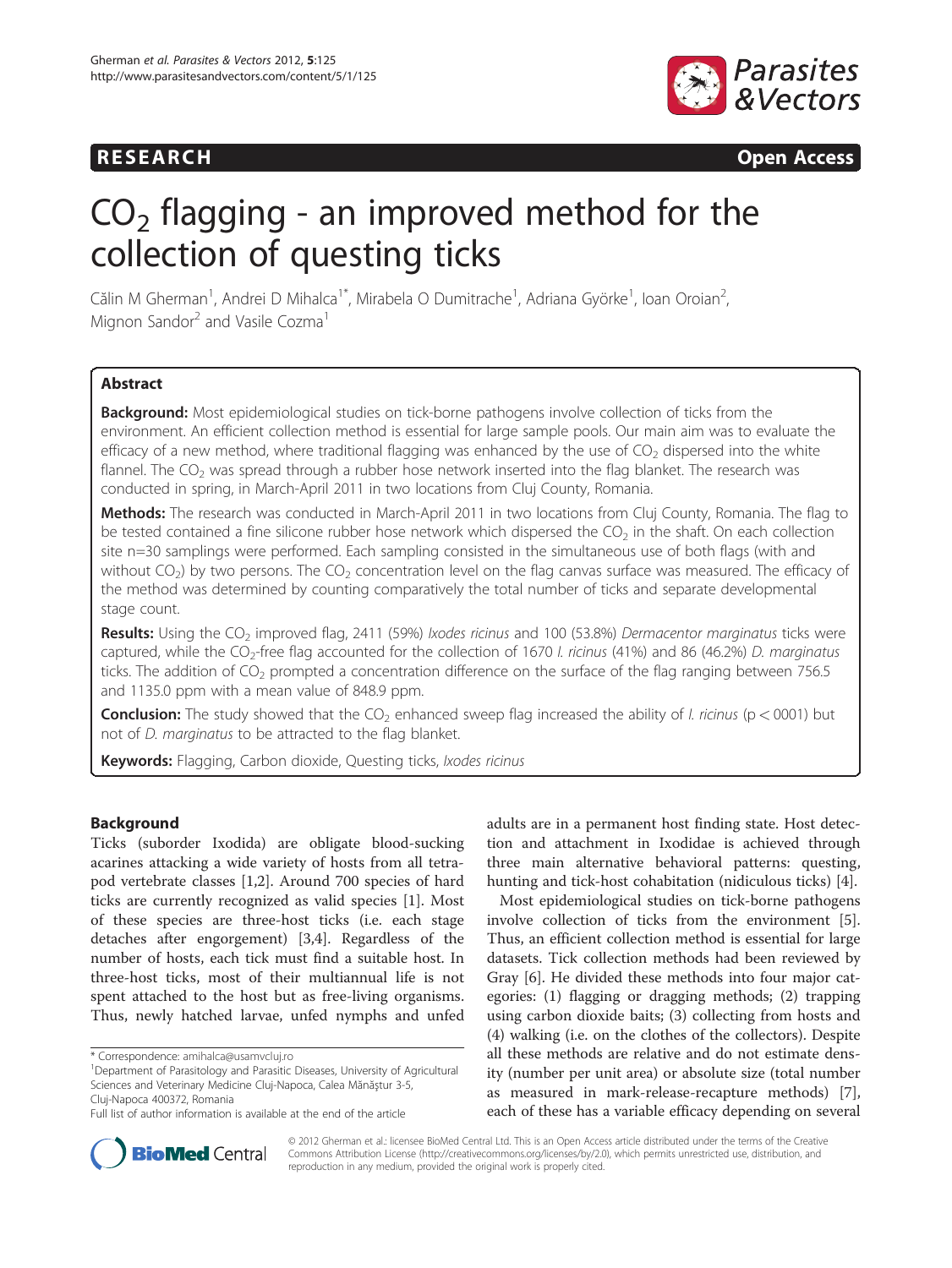## **RESEARCH RESEARCH CONSUMING ACCESS**



# $CO<sub>2</sub>$  flagging - an improved method for the collection of questing ticks

Călin M Gherman<sup>1</sup>, Andrei D Mihalca<sup>1\*</sup>, Mirabela O Dumitrache<sup>1</sup>, Adriana Györke<sup>1</sup>, Ioan Oroian<sup>2</sup> , Mignon Sandor<sup>2</sup> and Vasile Cozma<sup>1</sup>

## **Abstract**

Background: Most epidemiological studies on tick-borne pathogens involve collection of ticks from the environment. An efficient collection method is essential for large sample pools. Our main aim was to evaluate the efficacy of a new method, where traditional flagging was enhanced by the use of  $CO<sub>2</sub>$  dispersed into the white flannel. The  $CO<sub>2</sub>$  was spread through a rubber hose network inserted into the flag blanket. The research was conducted in spring, in March-April 2011 in two locations from Cluj County, Romania.

Methods: The research was conducted in March-April 2011 in two locations from Cluj County, Romania. The flag to be tested contained a fine silicone rubber hose network which dispersed the  $CO<sub>2</sub>$  in the shaft. On each collection site n=30 samplings were performed. Each sampling consisted in the simultaneous use of both flags (with and without  $CO<sub>2</sub>$ ) by two persons. The  $CO<sub>2</sub>$  concentration level on the flag canvas surface was measured. The efficacy of the method was determined by counting comparatively the total number of ticks and separate developmental stage count.

Results: Using the CO<sub>2</sub> improved flag, 2411 (59%) *Ixodes ricinus* and 100 (53.8%) Dermacentor marginatus ticks were captured, while the CO<sub>2</sub>-free flag accounted for the collection of 1670 *l. ricinus* (41%) and 86 (46.2%) *D. marginatus* ticks. The addition of  $CO<sub>2</sub>$  prompted a concentration difference on the surface of the flag ranging between 756.5 and 1135.0 ppm with a mean value of 848.9 ppm.

**Conclusion:** The study showed that the  $CO<sub>2</sub>$  enhanced sweep flag increased the ability of *l. ricinus* ( $p < 0001$ ) but not of D. marginatus to be attracted to the flag blanket.

Keywords: Flagging, Carbon dioxide, Questing ticks, Ixodes ricinus

## Background

Ticks (suborder Ixodida) are obligate blood-sucking acarines attacking a wide variety of hosts from all tetrapod vertebrate classes [\[1,](#page-4-0)[2\]](#page-5-0). Around 700 species of hard ticks are currently recognized as valid species [\[1](#page-4-0)]. Most of these species are three-host ticks (i.e. each stage detaches after engorgement) [[3,4\]](#page-5-0). Regardless of the number of hosts, each tick must find a suitable host. In three-host ticks, most of their multiannual life is not spent attached to the host but as free-living organisms. Thus, newly hatched larvae, unfed nymphs and unfed

adults are in a permanent host finding state. Host detection and attachment in Ixodidae is achieved through three main alternative behavioral patterns: questing, hunting and tick-host cohabitation (nidiculous ticks) [\[4](#page-5-0)].

Most epidemiological studies on tick-borne pathogens involve collection of ticks from the environment [\[5](#page-5-0)]. Thus, an efficient collection method is essential for large datasets. Tick collection methods had been reviewed by Gray [\[6\]](#page-5-0). He divided these methods into four major categories: (1) flagging or dragging methods; (2) trapping using carbon dioxide baits; (3) collecting from hosts and (4) walking (i.e. on the clothes of the collectors). Despite all these methods are relative and do not estimate density (number per unit area) or absolute size (total number as measured in mark-release-recapture methods) [\[7](#page-5-0)], each of these has a variable efficacy depending on several



© 2012 Gherman et al.: licensee BioMed Central Ltd. This is an Open Access article distributed under the terms of the Creative Commons Attribution License [\(http://creativecommons.org/licenses/by/2.0\)](http://creativecommons.org/licenses/by/2.0), which permits unrestricted use, distribution, and reproduction in any medium, provided the original work is properly cited.

<sup>\*</sup> Correspondence: [amihalca@usamvcluj.ro](mailto:amihalca@usamvcluj.ro) <sup>1</sup>

Department of Parasitology and Parasitic Diseases, University of Agricultural Sciences and Veterinary Medicine Cluj-Napoca, Calea Mănăştur 3-5, Cluj-Napoca 400372, Romania

Full list of author information is available at the end of the article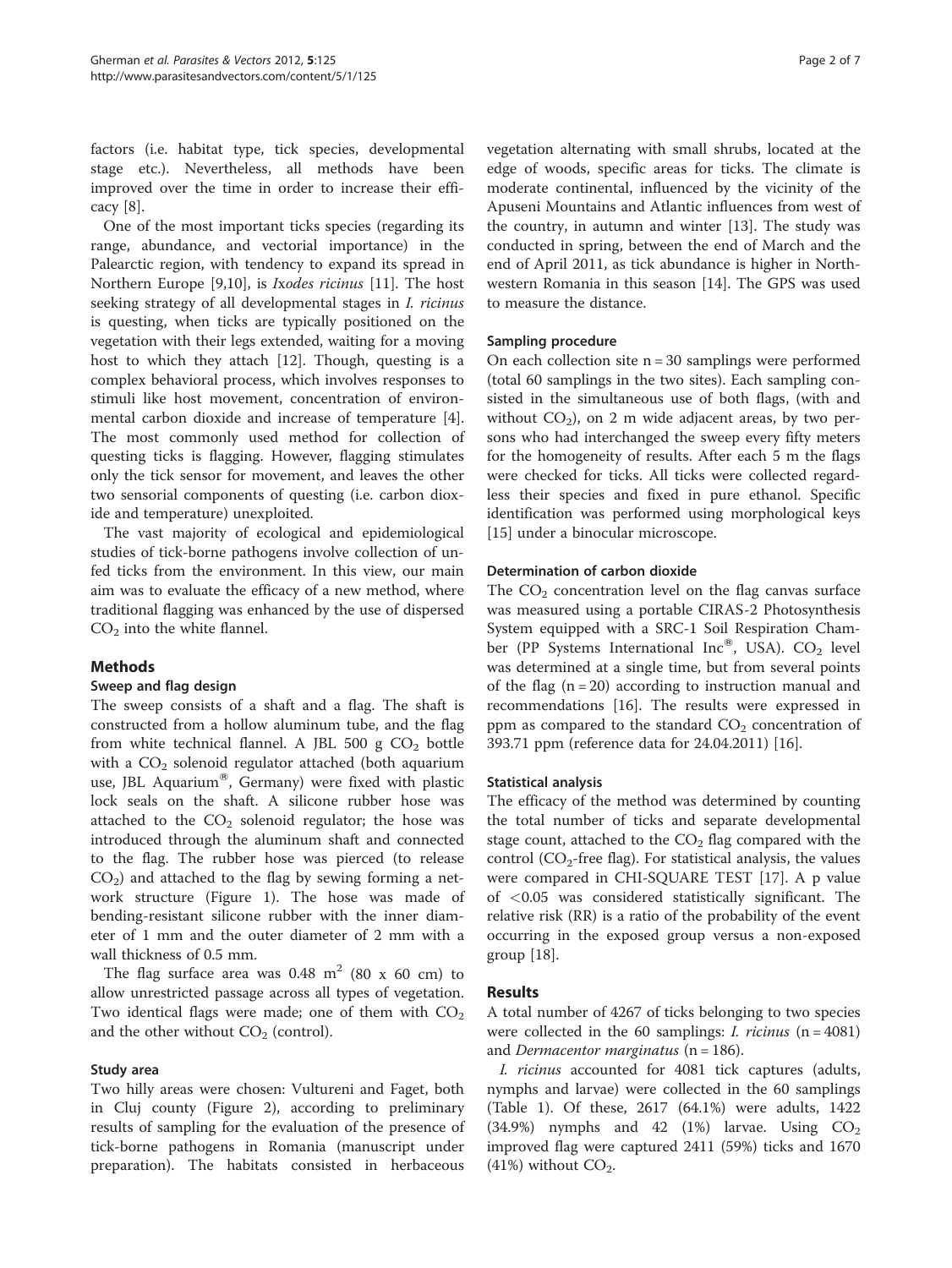factors (i.e. habitat type, tick species, developmental stage etc.). Nevertheless, all methods have been improved over the time in order to increase their efficacy [\[8](#page-5-0)].

One of the most important ticks species (regarding its range, abundance, and vectorial importance) in the Palearctic region, with tendency to expand its spread in Northern Europe [[9,10\]](#page-5-0), is Ixodes ricinus [\[11](#page-5-0)]. The host seeking strategy of all developmental stages in *I. ricinus* is questing, when ticks are typically positioned on the vegetation with their legs extended, waiting for a moving host to which they attach [\[12](#page-5-0)]. Though, questing is a complex behavioral process, which involves responses to stimuli like host movement, concentration of environmental carbon dioxide and increase of temperature [\[4](#page-5-0)]. The most commonly used method for collection of questing ticks is flagging. However, flagging stimulates only the tick sensor for movement, and leaves the other two sensorial components of questing (i.e. carbon dioxide and temperature) unexploited.

The vast majority of ecological and epidemiological studies of tick-borne pathogens involve collection of unfed ticks from the environment. In this view, our main aim was to evaluate the efficacy of a new method, where traditional flagging was enhanced by the use of dispersed  $CO<sub>2</sub>$  into the white flannel.

## Methods

## Sweep and flag design

The sweep consists of a shaft and a flag. The shaft is constructed from a hollow aluminum tube, and the flag from white technical flannel. A JBL 500 g  $CO<sub>2</sub>$  bottle with a  $CO<sub>2</sub>$  solenoid regulator attached (both aquarium use, JBL Aquarium<sup>®</sup>, Germany) were fixed with plastic lock seals on the shaft. A silicone rubber hose was attached to the  $CO<sub>2</sub>$  solenoid regulator; the hose was introduced through the aluminum shaft and connected to the flag. The rubber hose was pierced (to release  $CO<sub>2</sub>$ ) and attached to the flag by sewing forming a network structure (Figure [1\)](#page-2-0). The hose was made of bending-resistant silicone rubber with the inner diameter of 1 mm and the outer diameter of 2 mm with a wall thickness of 0.5 mm.

The flag surface area was  $0.48 \text{ m}^2$  (80 x 60 cm) to allow unrestricted passage across all types of vegetation. Two identical flags were made; one of them with  $CO<sub>2</sub>$ and the other without  $CO<sub>2</sub>$  (control).

## Study area

Two hilly areas were chosen: Vultureni and Faget, both in Cluj county (Figure [2\)](#page-2-0), according to preliminary results of sampling for the evaluation of the presence of tick-borne pathogens in Romania (manuscript under preparation). The habitats consisted in herbaceous vegetation alternating with small shrubs, located at the edge of woods, specific areas for ticks. The climate is moderate continental, influenced by the vicinity of the Apuseni Mountains and Atlantic influences from west of the country, in autumn and winter [[13](#page-5-0)]. The study was conducted in spring, between the end of March and the end of April 2011, as tick abundance is higher in Northwestern Romania in this season [\[14](#page-5-0)]. The GPS was used to measure the distance.

#### Sampling procedure

On each collection site  $n = 30$  samplings were performed (total 60 samplings in the two sites). Each sampling consisted in the simultaneous use of both flags, (with and without  $CO<sub>2</sub>$ ), on 2 m wide adjacent areas, by two persons who had interchanged the sweep every fifty meters for the homogeneity of results. After each 5 m the flags were checked for ticks. All ticks were collected regardless their species and fixed in pure ethanol. Specific identification was performed using morphological keys [[15\]](#page-5-0) under a binocular microscope.

#### Determination of carbon dioxide

The  $CO<sub>2</sub>$  concentration level on the flag canvas surface was measured using a portable CIRAS-2 Photosynthesis System equipped with a SRC-1 Soil Respiration Chamber (PP Systems International Inc®, USA). CO<sub>2</sub> level was determined at a single time, but from several points of the flag  $(n = 20)$  according to instruction manual and recommendations [[16\]](#page-5-0). The results were expressed in ppm as compared to the standard  $CO<sub>2</sub>$  concentration of 393.71 ppm (reference data for 24.04.2011) [\[16](#page-5-0)].

#### Statistical analysis

The efficacy of the method was determined by counting the total number of ticks and separate developmental stage count, attached to the  $CO<sub>2</sub>$  flag compared with the control ( $CO_2$ -free flag). For statistical analysis, the values were compared in CHI-SQUARE TEST [\[17](#page-5-0)]. A p value of <0.05 was considered statistically significant. The relative risk (RR) is a ratio of the probability of the event occurring in the exposed group versus a non-exposed group [[18\]](#page-5-0).

## Results

A total number of 4267 of ticks belonging to two species were collected in the 60 samplings: *I. ricinus*  $(n = 4081)$ and *Dermacentor marginatus* ( $n = 186$ ).

I. ricinus accounted for 4081 tick captures (adults, nymphs and larvae) were collected in the 60 samplings (Table [1](#page-3-0)). Of these, 2617 (64.1%) were adults, 1422  $(34.9\%)$  nymphs and 42  $(1\%)$  larvae. Using  $CO<sub>2</sub>$ improved flag were captured 2411 (59%) ticks and 1670 (41%) without  $CO<sub>2</sub>$ .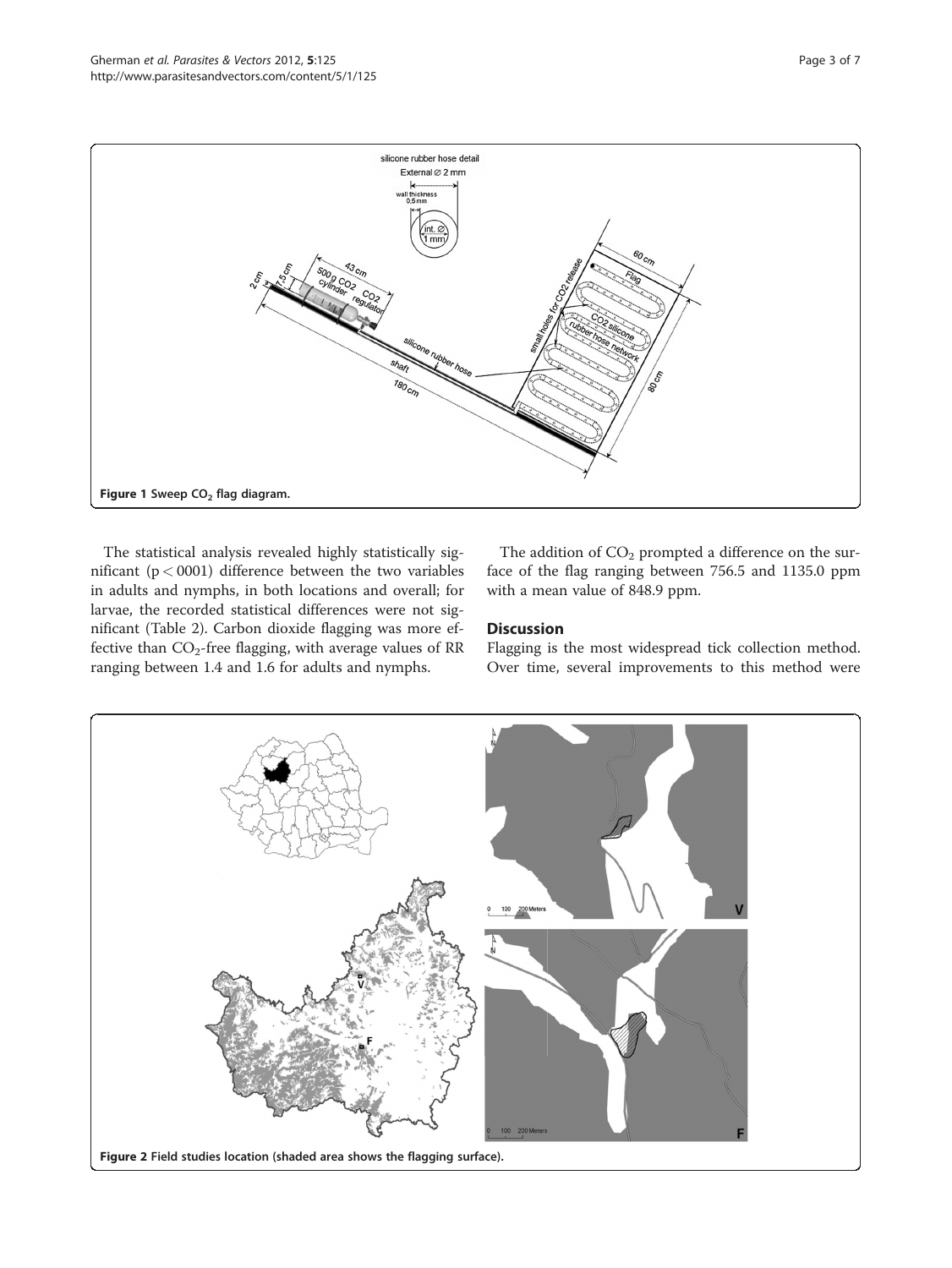<span id="page-2-0"></span>

The statistical analysis revealed highly statistically significant ( $p < 0001$ ) difference between the two variables in adults and nymphs, in both locations and overall; for larvae, the recorded statistical differences were not significant (Table [2\)](#page-3-0). Carbon dioxide flagging was more effective than  $CO_2$ -free flagging, with average values of RR ranging between 1.4 and 1.6 for adults and nymphs.

The addition of  $CO<sub>2</sub>$  prompted a difference on the surface of the flag ranging between 756.5 and 1135.0 ppm with a mean value of 848.9 ppm.

## **Discussion**

Flagging is the most widespread tick collection method. Over time, several improvements to this method were

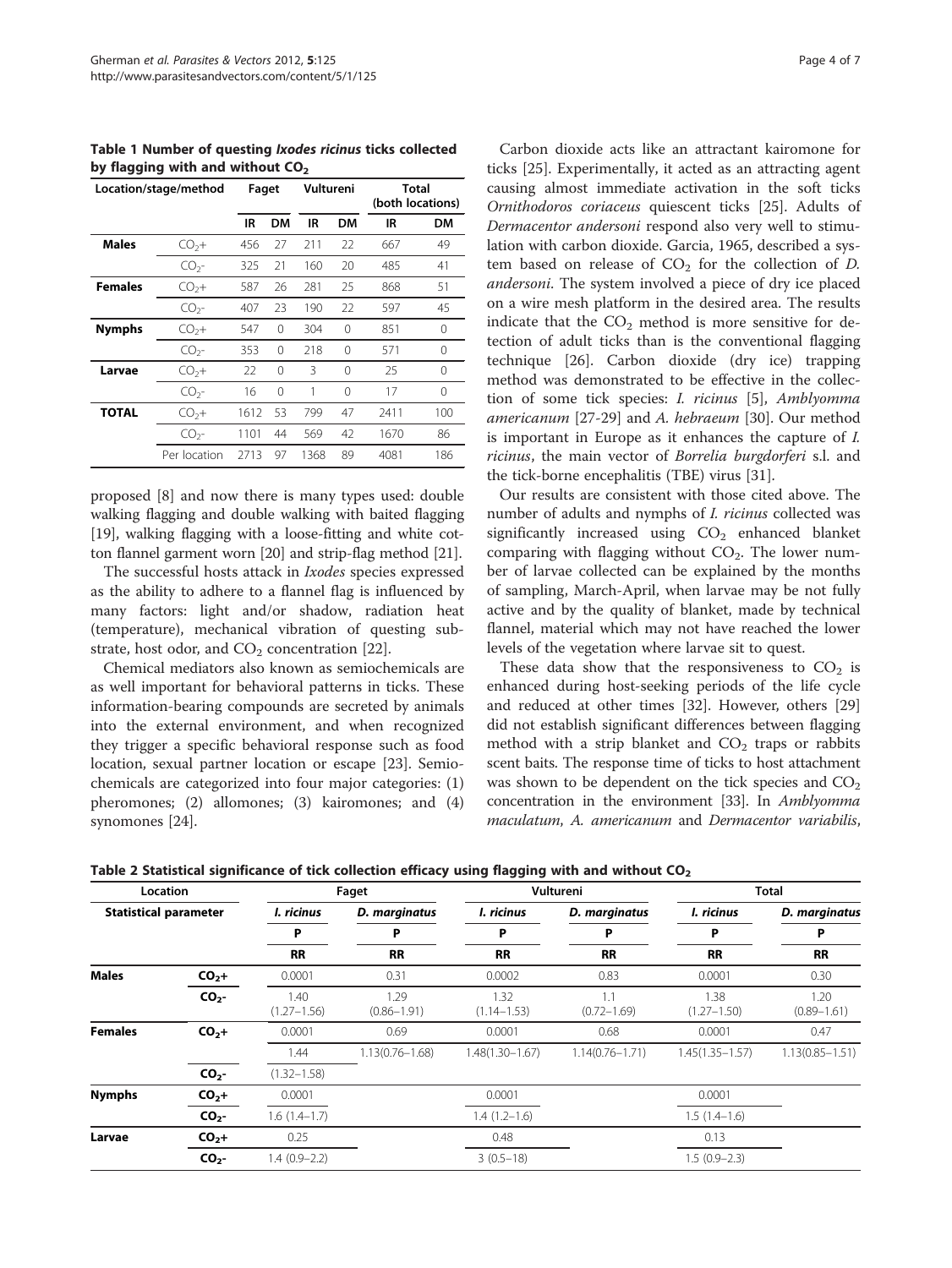<span id="page-3-0"></span>Table 1 Number of questing Ixodes ricinus ticks collected by flagging with and without  $CO<sub>2</sub>$ 

| Location/stage/method |                 | Faget |          | Vultureni |          | Total<br>(both locations) |          |
|-----------------------|-----------------|-------|----------|-----------|----------|---------------------------|----------|
|                       |                 | IR    | DM       | IR        | DМ       | IR                        | DМ       |
| <b>Males</b>          | $CO2 +$         | 456   | 27       | 211       | 22       | 667                       | 49       |
|                       | CO <sub>2</sub> | 325   | 21       | 160       | 20       | 485                       | 41       |
| <b>Females</b>        | $CO2 +$         | 587   | 26       | 281       | 25       | 868                       | 51       |
|                       | CO <sub>2</sub> | 407   | 23       | 190       | 22       | 597                       | 45       |
| <b>Nymphs</b>         | $CO2 +$         | 547   | $\Omega$ | 304       | 0        | 851                       | 0        |
|                       | CO <sub>2</sub> | 353   | $\Omega$ | 218       | $\Omega$ | 571                       | $\Omega$ |
| Larvae                | $CO2 +$         | 22    | $\Omega$ | 3         | 0        | 25                        | 0        |
|                       | CO <sub>2</sub> | 16    | $\Omega$ | 1         | 0        | 17                        | 0        |
| <b>TOTAL</b>          | $CO2 +$         | 1612  | 53       | 799       | 47       | 2411                      | 100      |
|                       | CO <sub>2</sub> | 1101  | 44       | 569       | 42       | 1670                      | 86       |
|                       | Per location    | 2713  | 97       | 1368      | 89       | 4081                      | 186      |

proposed [\[8](#page-5-0)] and now there is many types used: double walking flagging and double walking with baited flagging [[19](#page-5-0)], walking flagging with a loose-fitting and white cotton flannel garment worn [[20](#page-5-0)] and strip-flag method [\[21\]](#page-5-0).

The successful hosts attack in Ixodes species expressed as the ability to adhere to a flannel flag is influenced by many factors: light and/or shadow, radiation heat (temperature), mechanical vibration of questing substrate, host odor, and  $CO<sub>2</sub>$  concentration [[22\]](#page-5-0).

Chemical mediators also known as semiochemicals are as well important for behavioral patterns in ticks. These information-bearing compounds are secreted by animals into the external environment, and when recognized they trigger a specific behavioral response such as food location, sexual partner location or escape [\[23](#page-5-0)]. Semiochemicals are categorized into four major categories: (1) pheromones; (2) allomones; (3) kairomones; and (4) synomones [\[24](#page-5-0)].

Carbon dioxide acts like an attractant kairomone for ticks [\[25\]](#page-5-0). Experimentally, it acted as an attracting agent causing almost immediate activation in the soft ticks Ornithodoros coriaceus quiescent ticks [[25\]](#page-5-0). Adults of Dermacentor andersoni respond also very well to stimulation with carbon dioxide. Garcia, 1965, described a system based on release of  $CO<sub>2</sub>$  for the collection of D. andersoni. The system involved a piece of dry ice placed on a wire mesh platform in the desired area. The results indicate that the  $CO<sub>2</sub>$  method is more sensitive for detection of adult ticks than is the conventional flagging technique [\[26](#page-5-0)]. Carbon dioxide (dry ice) trapping method was demonstrated to be effective in the collection of some tick species: I. ricinus [\[5](#page-5-0)], Amblyomma americanum [[27-29\]](#page-5-0) and A. hebraeum [\[30\]](#page-5-0). Our method is important in Europe as it enhances the capture of I. ricinus, the main vector of Borrelia burgdorferi s.l. and the tick-borne encephalitis (TBE) virus [[31\]](#page-5-0).

Our results are consistent with those cited above. The number of adults and nymphs of I. ricinus collected was significantly increased using  $CO<sub>2</sub>$  enhanced blanket comparing with flagging without  $CO<sub>2</sub>$ . The lower number of larvae collected can be explained by the months of sampling, March-April, when larvae may be not fully active and by the quality of blanket, made by technical flannel, material which may not have reached the lower levels of the vegetation where larvae sit to quest.

These data show that the responsiveness to  $CO<sub>2</sub>$  is enhanced during host-seeking periods of the life cycle and reduced at other times [[32\]](#page-5-0). However, others [[29](#page-5-0)] did not establish significant differences between flagging method with a strip blanket and  $CO<sub>2</sub>$  traps or rabbits scent baits. The response time of ticks to host attachment was shown to be dependent on the tick species and  $CO<sub>2</sub>$ concentration in the environment [\[33\]](#page-5-0). In Amblyomma maculatum, A. americanum and Dermacentor variabilis,

Table 2 Statistical significance of tick collection efficacy using flagging with and without CO<sub>2</sub>

| Location<br><b>Statistical parameter</b> |                 | Faget                   |                         |                         | Vultureni              | <b>Total</b>            |                         |
|------------------------------------------|-----------------|-------------------------|-------------------------|-------------------------|------------------------|-------------------------|-------------------------|
|                                          |                 | I. ricinus              | D. marginatus           | I. ricinus              | D. marginatus          | I. ricinus              | D. marginatus           |
|                                          |                 | Р                       | P                       | P                       | P                      | P                       | P                       |
|                                          |                 | <b>RR</b>               | <b>RR</b>               | <b>RR</b>               | <b>RR</b>              | <b>RR</b>               | <b>RR</b>               |
| <b>Males</b>                             | $CO2$ +         | 0.0001                  | 0.31                    | 0.0002                  | 0.83                   | 0.0001                  | 0.30                    |
|                                          | CO <sub>2</sub> | 1.40<br>$(1.27 - 1.56)$ | 1.29<br>$(0.86 - 1.91)$ | 1.32<br>$(1.14 - 1.53)$ | 1.1<br>$(0.72 - 1.69)$ | 1.38<br>$(1.27 - 1.50)$ | 1.20<br>$(0.89 - 1.61)$ |
| <b>Females</b>                           | $CO2$ +         | 0.0001                  | 0.69                    | 0.0001                  | 0.68                   | 0.0001                  | 0.47                    |
|                                          |                 | 1.44                    | $1.13(0.76 - 1.68)$     | $1.48(1.30 - 1.67)$     | $1.14(0.76 - 1.71)$    | $1.45(1.35 - 1.57)$     | $1.13(0.85 - 1.51)$     |
|                                          | CO <sub>2</sub> | $(1.32 - 1.58)$         |                         |                         |                        |                         |                         |
| <b>Nymphs</b>                            | $CO2$ +         | 0.0001                  |                         | 0.0001                  |                        | 0.0001                  |                         |
|                                          | CO <sub>2</sub> | $1.6(1.4-1.7)$          |                         | $1.4(1.2-1.6)$          |                        | $1.5(1.4-1.6)$          |                         |
| Larvae                                   | $CO2$ +         | 0.25                    |                         | 0.48                    |                        | 0.13                    |                         |
|                                          | CO <sub>2</sub> | $1.4(0.9-2.2)$          |                         | $3(0.5-18)$             |                        | $1.5(0.9-2.3)$          |                         |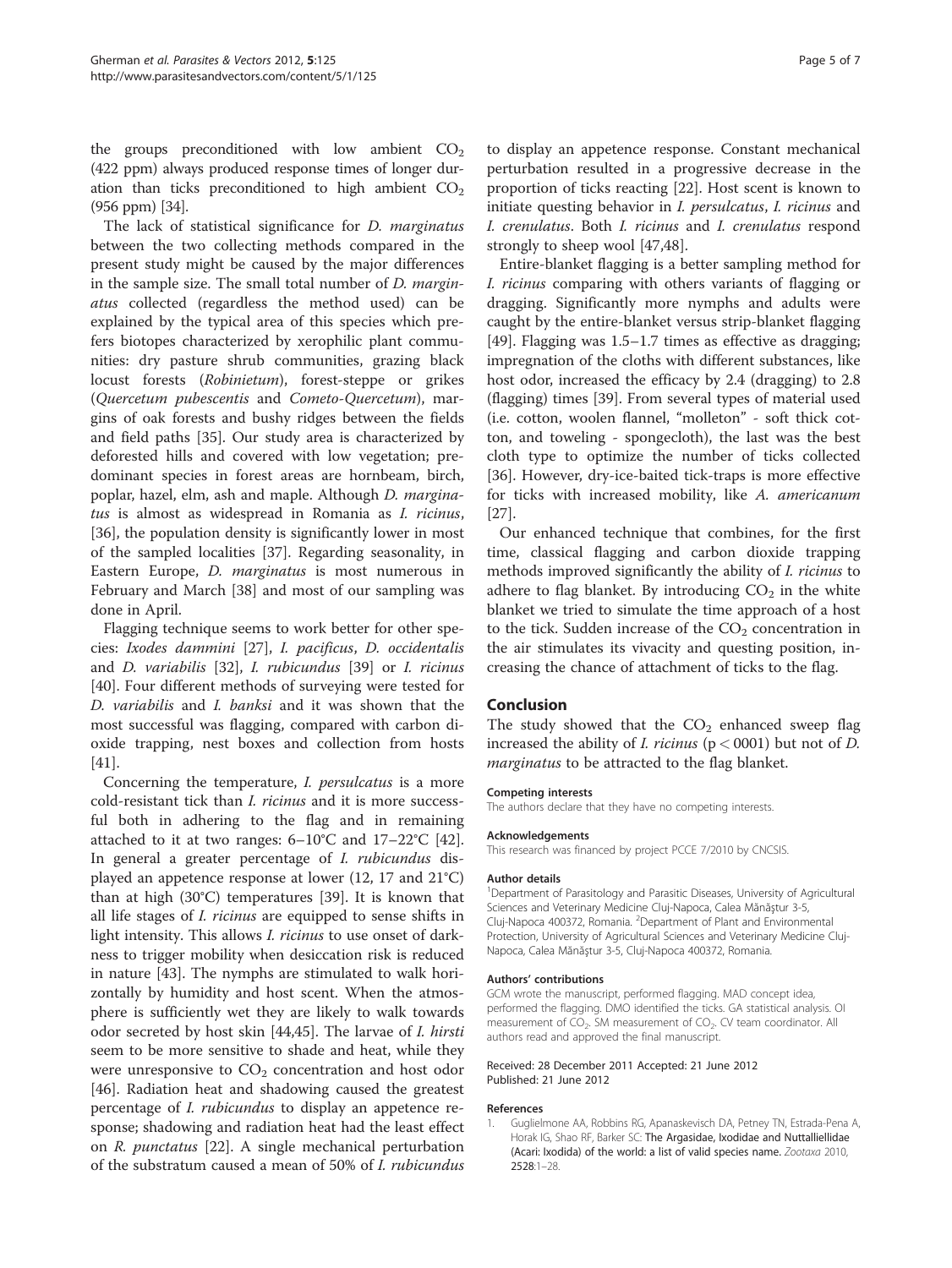<span id="page-4-0"></span>the groups preconditioned with low ambient  $CO<sub>2</sub>$ (422 ppm) always produced response times of longer duration than ticks preconditioned to high ambient  $CO<sub>2</sub>$ (956 ppm) [\[34\]](#page-5-0).

The lack of statistical significance for *D. marginatus* between the two collecting methods compared in the present study might be caused by the major differences in the sample size. The small total number of D. marginatus collected (regardless the method used) can be explained by the typical area of this species which prefers biotopes characterized by xerophilic plant communities: dry pasture shrub communities, grazing black locust forests (Robinietum), forest-steppe or grikes (Quercetum pubescentis and Cometo-Quercetum), margins of oak forests and bushy ridges between the fields and field paths [\[35\]](#page-5-0). Our study area is characterized by deforested hills and covered with low vegetation; predominant species in forest areas are hornbeam, birch, poplar, hazel, elm, ash and maple. Although D. marginatus is almost as widespread in Romania as I. ricinus, [[36\]](#page-5-0), the population density is significantly lower in most of the sampled localities [\[37\]](#page-5-0). Regarding seasonality, in Eastern Europe, D. marginatus is most numerous in February and March [\[38\]](#page-5-0) and most of our sampling was done in April.

Flagging technique seems to work better for other species: Ixodes dammini [\[27](#page-5-0)], I. pacificus, D. occidentalis and D. variabilis [\[32\]](#page-5-0), I. rubicundus [\[39](#page-5-0)] or I. ricinus [[40\]](#page-5-0). Four different methods of surveying were tested for D. variabilis and I. banksi and it was shown that the most successful was flagging, compared with carbon dioxide trapping, nest boxes and collection from hosts [[41\]](#page-5-0).

Concerning the temperature, *I. persulcatus* is a more cold-resistant tick than I. ricinus and it is more successful both in adhering to the flag and in remaining attached to it at two ranges:  $6-10^{\circ}$ C and  $17-22^{\circ}$ C [\[42](#page-5-0)]. In general a greater percentage of I. rubicundus displayed an appetence response at lower (12, 17 and 21°C) than at high (30°C) temperatures [[39\]](#page-5-0). It is known that all life stages of I. ricinus are equipped to sense shifts in light intensity. This allows *I. ricinus* to use onset of darkness to trigger mobility when desiccation risk is reduced in nature [[43\]](#page-5-0). The nymphs are stimulated to walk horizontally by humidity and host scent. When the atmosphere is sufficiently wet they are likely to walk towards odor secreted by host skin [\[44,45](#page-5-0)]. The larvae of I. hirsti seem to be more sensitive to shade and heat, while they were unresponsive to  $CO<sub>2</sub>$  concentration and host odor [[46\]](#page-6-0). Radiation heat and shadowing caused the greatest percentage of I. rubicundus to display an appetence response; shadowing and radiation heat had the least effect on R. punctatus [\[22\]](#page-5-0). A single mechanical perturbation of the substratum caused a mean of 50% of I. rubicundus

to display an appetence response. Constant mechanical perturbation resulted in a progressive decrease in the proportion of ticks reacting [\[22](#page-5-0)]. Host scent is known to initiate questing behavior in I. persulcatus, I. ricinus and I. crenulatus. Both I. ricinus and I. crenulatus respond strongly to sheep wool [\[47,48](#page-6-0)].

Entire-blanket flagging is a better sampling method for I. ricinus comparing with others variants of flagging or dragging. Significantly more nymphs and adults were caught by the entire-blanket versus strip-blanket flagging [[49\]](#page-6-0). Flagging was 1.5–1.7 times as effective as dragging; impregnation of the cloths with different substances, like host odor, increased the efficacy by 2.4 (dragging) to 2.8 (flagging) times [\[39](#page-5-0)]. From several types of material used (i.e. cotton, woolen flannel, "molleton" - soft thick cotton, and toweling - spongecloth), the last was the best cloth type to optimize the number of ticks collected [[36\]](#page-5-0). However, dry-ice-baited tick-traps is more effective for ticks with increased mobility, like A. americanum [[27\]](#page-5-0).

Our enhanced technique that combines, for the first time, classical flagging and carbon dioxide trapping methods improved significantly the ability of I. ricinus to adhere to flag blanket. By introducing  $CO<sub>2</sub>$  in the white blanket we tried to simulate the time approach of a host to the tick. Sudden increase of the  $CO<sub>2</sub>$  concentration in the air stimulates its vivacity and questing position, increasing the chance of attachment of ticks to the flag.

#### Conclusion

The study showed that the  $CO<sub>2</sub>$  enhanced sweep flag increased the ability of *I. ricinus* ( $p < 0001$ ) but not of *D.* marginatus to be attracted to the flag blanket.

## Competing interests

The authors declare that they have no competing interests.

#### Acknowledgements

This research was financed by project PCCE 7/2010 by CNCSIS.

#### Author details

<sup>1</sup>Department of Parasitology and Parasitic Diseases, University of Agricultural Sciences and Veterinary Medicine Cluj-Napoca, Calea Mănăştur 3-5, Cluj-Napoca 400372, Romania. <sup>2</sup>Department of Plant and Environmental Protection, University of Agricultural Sciences and Veterinary Medicine Cluj-Napoca, Calea Mănăştur 3-5, Cluj-Napoca 400372, Romania.

#### Authors' contributions

GCM wrote the manuscript, performed flagging. MAD concept idea, performed the flagging. DMO identified the ticks. GA statistical analysis. OI measurement of CO<sub>2</sub>. SM measurement of CO<sub>2</sub>. CV team coordinator. All authors read and approved the final manuscript.

#### Received: 28 December 2011 Accepted: 21 June 2012 Published: 21 June 2012

#### References

1. Guglielmone AA, Robbins RG, Apanaskevisch DA, Petney TN, Estrada-Pena A, Horak IG, Shao RF, Barker SC: The Argasidae, Ixodidae and Nuttalliellidae (Acari: Ixodida) of the world: a list of valid species name. Zootaxa 2010, 2528:1–28.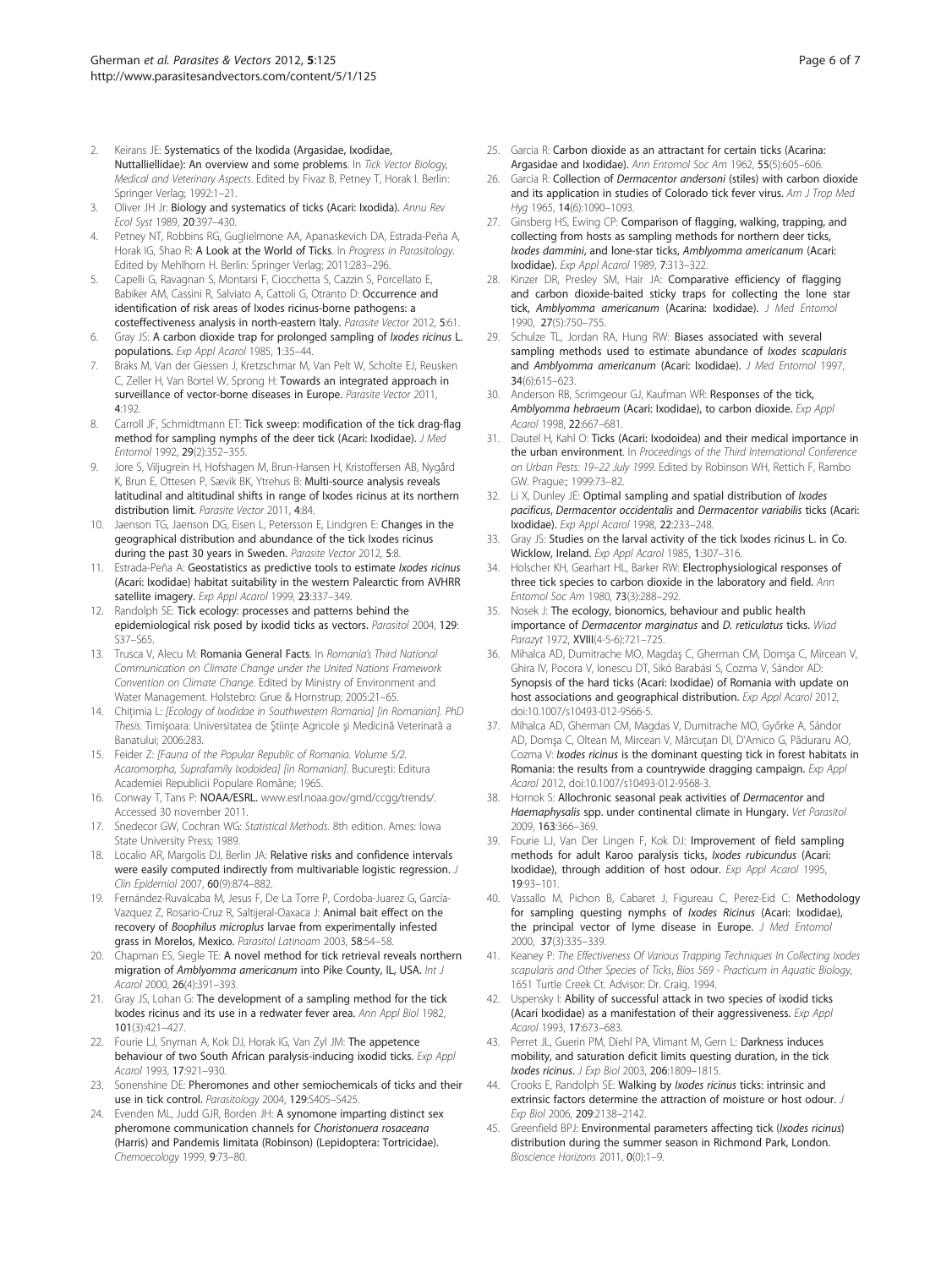- <span id="page-5-0"></span>Keirans JE: Systematics of the Ixodida (Argasidae, Ixodidae, Nuttalliellidae): An overview and some problems. In Tick Vector Biology, Medical and Veterinary Aspects. Edited by Fivaz B, Petney T, Horak I. Berlin: Springer Verlag; 1992:1–21.
- 3. Oliver JH Jr: Biology and systematics of ticks (Acari: Ixodida). Annu Rev Ecol Syst 1989, 20:397–430.
- 4. Petney NT, Robbins RG, Guglielmone AA, Apanaskevich DA, Estrada-Peña A, Horak IG, Shao R: A Look at the World of Ticks. In Progress in Parasitology. Edited by Mehlhorn H. Berlin: Springer Verlag; 2011:283–296.
- 5. Capelli G, Ravagnan S, Montarsi F, Ciocchetta S, Cazzin S, Porcellato E, Babiker AM, Cassini R, Salviato A, Cattoli G, Otranto D: Occurrence and identification of risk areas of Ixodes ricinus-borne pathogens: a costeffectiveness analysis in north-eastern Italy. Parasite Vector 2012, 5:61.
- 6. Gray JS: A carbon dioxide trap for prolonged sampling of Ixodes ricinus L. populations. Exp Appl Acarol 1985, 1:35–44.
- 7. Braks M, Van der Giessen J, Kretzschmar M, Van Pelt W, Scholte EJ, Reusken C, Zeller H, Van Bortel W, Sprong H: Towards an integrated approach in surveillance of vector-borne diseases in Europe. Parasite Vector 2011, 4:192.
- 8. Carroll JF, Schmidtmann ET: Tick sweep: modification of the tick drag-flag method for sampling nymphs of the deer tick (Acari: Ixodidae). J Med Entomol 1992, 29(2):352–355.
- 9. Jore S, Viljugrein H, Hofshagen M, Brun-Hansen H, Kristoffersen AB, Nygård K, Brun E, Ottesen P, Sævik BK, Ytrehus B: Multi-source analysis reveals latitudinal and altitudinal shifts in range of Ixodes ricinus at its northern distribution limit. Parasite Vector 2011, 4:84.
- 10. Jaenson TG, Jaenson DG, Eisen L, Petersson E, Lindgren E: Changes in the geographical distribution and abundance of the tick Ixodes ricinus during the past 30 years in Sweden. Parasite Vector 2012, 5:8.
- 11. Estrada-Peña A: Geostatistics as predictive tools to estimate *Ixodes ricinus* (Acari: Ixodidae) habitat suitability in the western Palearctic from AVHRR satellite imagery. Exp Appl Acarol 1999, 23:337-349.
- 12. Randolph SE: Tick ecology: processes and patterns behind the epidemiological risk posed by ixodid ticks as vectors. Parasitol 2004, 129: S37–S65.
- 13. Trusca V, Alecu M: Romania General Facts. In Romania's Third National Communication on Climate Change under the United Nations Framework Convention on Climate Change. Edited by Ministry of Environment and Water Management. Holstebro: Grue & Hornstrup; 2005:21–65.
- 14. Chitimia L: [Ecology of Ixodidae in Southwestern Romania] [in Romanian]. PhD Thesis. Timişoara: Universitatea de Ştiinţe Agricole şi Medicină Veterinară a Banatului; 2006:283.
- 15. Feider Z: [Fauna of the Popular Republic of Romania. Volume 5/2. Acaromorpha, Suprafamily Ixodoidea] [in Romanian]. Bucureşti: Editura Academiei Republicii Populare Române; 1965.
- 16. Conway T, Tans P: NOAA/ESRL. www.esrl.noaa.gov/gmd/ccgg/trends/. Accessed 30 november 2011.
- 17. Snedecor GW, Cochran WG: Statistical Methods. 8th edition. Ames: Iowa State University Press; 1989.
- 18. Localio AR, Margolis DJ, Berlin JA: Relative risks and confidence intervals were easily computed indirectly from multivariable logistic regression. J Clin Epidemiol 2007, 60(9):874–882.
- 19. Fernández-Ruvalcaba M, Jesus F, De La Torre P, Cordoba-Juarez G, García-Vazquez Z, Rosario-Cruz R, Saltijeral-Oaxaca J: Animal bait effect on the recovery of Boophilus microplus larvae from experimentally infested grass in Morelos, Mexico. Parasitol Latinoam 2003, 58:54–58.
- 20. Chapman ES, Siegle TE: A novel method for tick retrieval reveals northern migration of Amblyomma americanum into Pike County, IL, USA. Int J Acarol 2000, 26(4):391–393.
- 21. Gray JS, Lohan G: The development of a sampling method for the tick Ixodes ricinus and its use in a redwater fever area. Ann Appl Biol 1982, 101(3):421–427.
- 22. Fourie LJ, Snyman A, Kok DJ, Horak IG, Van Zyl JM: The appetence behaviour of two South African paralysis-inducing ixodid ticks. Exp Appl Acarol 1993, 17:921–930.
- 23. Sonenshine DE: Pheromones and other semiochemicals of ticks and their use in tick control. Parasitology 2004, 129:S405–S425.
- 24. Evenden ML, Judd GJR, Borden JH: A synomone imparting distinct sex pheromone communication channels for Choristonuera rosaceana (Harris) and Pandemis limitata (Robinson) (Lepidoptera: Tortricidae). Chemoecology 1999, 9:73–80.
- 25. Garcia R: Carbon dioxide as an attractant for certain ticks (Acarina: Argasidae and Ixodidae). Ann Entomol Soc Am 1962, 55(5):605–606.
- 26. Garcia R: Collection of Dermacentor andersoni (stiles) with carbon dioxide and its application in studies of Colorado tick fever virus. Am J Trop Med Hyg 1965, 14(6):1090–1093.
- 27. Ginsberg HS, Ewing CP: Comparison of flagging, walking, trapping, and collecting from hosts as sampling methods for northern deer ticks, Ixodes dammini, and lone-star ticks, Amblyomma americanum (Acari: Ixodidae). Exp Appl Acarol 1989, 7:313–322.
- 28. Kinzer DR, Presley SM, Hair JA: Comparative efficiency of flagging and carbon dioxide-baited sticky traps for collecting the lone star tick, Amblyomma americanum (Acarina: Ixodidae). J Med Entomol 1990, 27(5):750–755.
- 29. Schulze TL, Jordan RA, Hung RW: Biases associated with several sampling methods used to estimate abundance of *Ixodes scapularis* and Amblyomma americanum (Acari: Ixodidae). J Med Entomol 1997, 34(6):615–623.
- 30. Anderson RB, Scrimgeour GJ, Kaufman WR: Responses of the tick, Amblyomma hebraeum (Acari: Ixodidae), to carbon dioxide. Exp Appl Acarol 1998, 22:667–681.
- 31. Dautel H, Kahl O: Ticks (Acari: Ixodoidea) and their medical importance in the urban environment. In Proceedings of the Third International Conference on Urban Pests: 19–22 July 1999. Edited by Robinson WH, Rettich F, Rambo GW. Prague:; 1999:73–82.
- 32. Li X, Dunley JE: Optimal sampling and spatial distribution of Ixodes pacificus, Dermacentor occidentalis and Dermacentor variabilis ticks (Acari: Ixodidae). Exp Appl Acarol 1998, 22:233–248.
- 33. Gray JS: Studies on the larval activity of the tick Ixodes ricinus L. in Co. Wicklow, Ireland. Exp Appl Acarol 1985, 1:307–316.
- 34. Holscher KH, Gearhart HL, Barker RW: Electrophysiological responses of three tick species to carbon dioxide in the laboratory and field. Ann Entomol Soc Am 1980, 73(3):288–292.
- 35. Nosek J: The ecology, bionomics, behaviour and public health importance of Dermacentor marginatus and D. reticulatus ticks. Wiad Parazyt 1972, XVIII(4-5-6):721–725.
- 36. Mihalca AD, Dumitrache MO, Magdaş C, Gherman CM, Domşa C, Mircean V, Ghira IV, Pocora V, Ionescu DT, Sikó Barabási S, Cozma V, Sándor AD: Synopsis of the hard ticks (Acari: Ixodidae) of Romania with update on host associations and geographical distribution. Exp Appl Acarol 2012, doi[:10.1007/s10493-012-9566-5](10.1007/s10493-012-9566-5).
- 37. Mihalca AD, Gherman CM, Magdas V, Dumitrache MO, Győrke A, Sándor AD, Domşa C, Oltean M, Mircean V, Mărcuţan DI, D'Amico G, Păduraru AO, Cozma V: Ixodes ricinus is the dominant questing tick in forest habitats in Romania: the results from a countrywide dragging campaign. Exp Appl Acarol 2012, doi[:10.1007/s10493-012-9568-3.](10.1007/s10493-012-9568-3)
- 38. Hornok S: Allochronic seasonal peak activities of Dermacentor and Haemaphysalis spp. under continental climate in Hungary. Vet Parasitol 2009, 163:366–369.
- 39. Fourie LJ, Van Der Lingen F, Kok DJ: Improvement of field sampling methods for adult Karoo paralysis ticks, Ixodes rubicundus (Acari: Ixodidae), through addition of host odour. Exp Appl Acarol 1995, 19:93–101.
- 40. Vassallo M, Pichon B, Cabaret J, Figureau C, Perez-Eid C: Methodology for sampling questing nymphs of Ixodes Ricinus (Acari: Ixodidae), the principal vector of lyme disease in Europe. J Med Entomol 2000, 37(3):335–339.
- 41. Keaney P: The Effectiveness Of Various Trapping Techniques In Collecting Ixodes scapularis and Other Species of Ticks, Bios 569 - Practicum in Aquatic Biology, 1651 Turtle Creek Ct. Advisor: Dr. Craig. 1994.
- 42. Uspensky I: Ability of successful attack in two species of ixodid ticks (Acari Ixodidae) as a manifestation of their aggressiveness. Exp Appl Acarol 1993, 17:673–683.
- 43. Perret JL, Guerin PM, Diehl PA, Vlimant M, Gern L: Darkness induces mobility, and saturation deficit limits questing duration, in the tick Ixodes ricinus. J Exp Biol 2003, 206:1809–1815.
- 44. Crooks E, Randolph SE: Walking by Ixodes ricinus ticks: intrinsic and extrinsic factors determine the attraction of moisture or host odour. J Exp Biol 2006, 209:2138–2142.
- 45. Greenfield BPJ: Environmental parameters affecting tick (Ixodes ricinus) distribution during the summer season in Richmond Park, London. Bioscience Horizons 2011, 0(0):1-9.